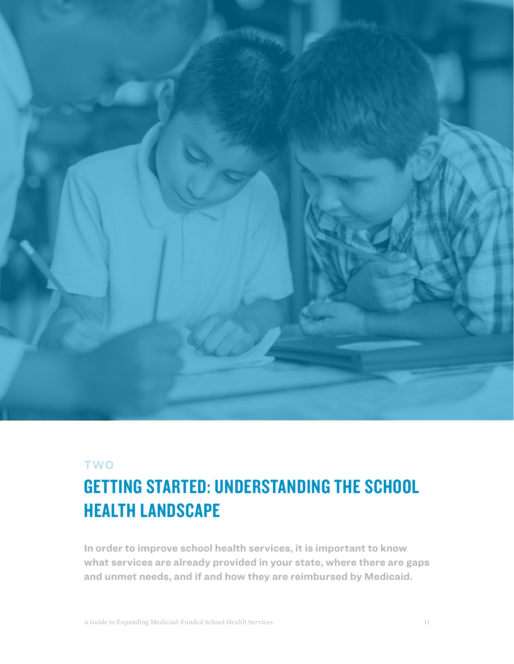

### TWO

# GETTING STARTED: UNDERSTANDING THE SCHOOL HEALTH LANDSCAPE

**In order to improve school health services, it is important to know what services are already provided in your state, where there are gaps and unmet needs, and if and how they are reimbursed by Medicaid.**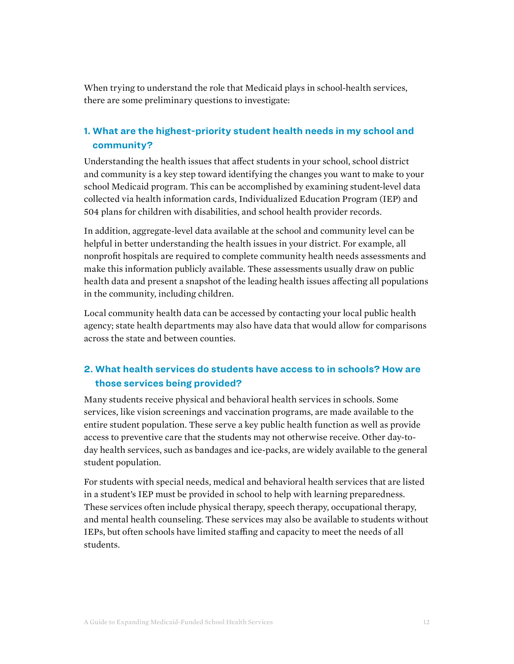When trying to understand the role that Medicaid plays in school-health services, there are some preliminary questions to investigate:

#### **1. What are the highest-priority student health needs in my school and community?**

Understanding the health issues that affect students in your school, school district and community is a key step toward identifying the changes you want to make to your school Medicaid program. This can be accomplished by examining student-level data collected via health information cards, Individualized Education Program (IEP) and 504 plans for children with disabilities, and school health provider records.

In addition, aggregate-level data available at the school and community level can be helpful in better understanding the health issues in your district. For example, all nonprofit hospitals are required to complete community health needs assessments and make this information publicly available. These assessments usually draw on public health data and present a snapshot of the leading health issues affecting all populations in the community, including children.

Local community health data can be accessed by contacting your local public health agency; state health departments may also have data that would allow for comparisons across the state and between counties.

#### **2. What health services do students have access to in schools? How are those services being provided?**

Many students receive physical and behavioral health services in schools. Some services, like vision screenings and vaccination programs, are made available to the entire student population. These serve a key public health function as well as provide access to preventive care that the students may not otherwise receive. Other day-today health services, such as bandages and ice-packs, are widely available to the general student population.

For students with special needs, medical and behavioral health services that are listed in a student's IEP must be provided in school to help with learning preparedness. These services often include physical therapy, speech therapy, occupational therapy, and mental health counseling. These services may also be available to students without IEPs, but often schools have limited staffing and capacity to meet the needs of all students.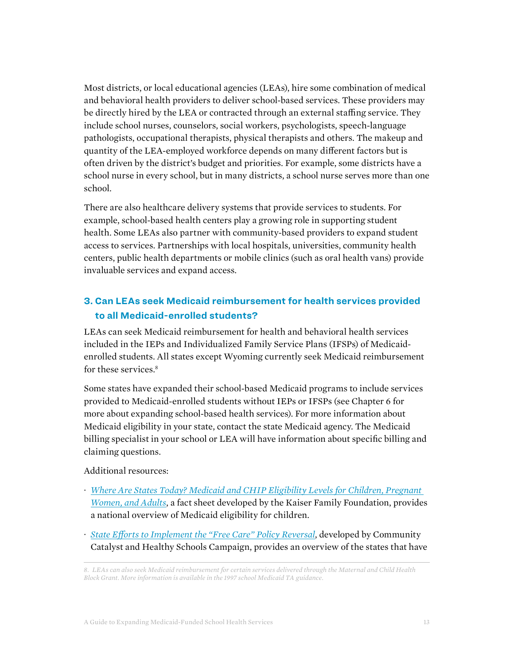Most districts, or local educational agencies (LEAs), hire some combination of medical and behavioral health providers to deliver school-based services. These providers may be directly hired by the LEA or contracted through an external staffing service. They include school nurses, counselors, social workers, psychologists, speech-language pathologists, occupational therapists, physical therapists and others. The makeup and quantity of the LEA-employed workforce depends on many different factors but is often driven by the district's budget and priorities. For example, some districts have a school nurse in every school, but in many districts, a school nurse serves more than one school.

There are also healthcare delivery systems that provide services to students. For example, school-based health centers play a growing role in supporting student health. Some LEAs also partner with community-based providers to expand student access to services. Partnerships with local hospitals, universities, community health centers, public health departments or mobile clinics (such as oral health vans) provide invaluable services and expand access.

#### **3. Can LEAs seek Medicaid reimbursement for health services provided to all Medicaid-enrolled students?**

LEAs can seek Medicaid reimbursement for health and behavioral health services included in the IEPs and Individualized Family Service Plans (IFSPs) of Medicaidenrolled students. All states except Wyoming currently seek Medicaid reimbursement for these services.<sup>8</sup>

Some states have expanded their school-based Medicaid programs to include services provided to Medicaid-enrolled students without IEPs or IFSPs (see Chapter 6 for more about expanding school-based health services). For more information about Medicaid eligibility in your state, contact the state Medicaid agency. The Medicaid billing specialist in your school or LEA will have information about specific billing and claiming questions.

Additional resources:

- · *[Where Are States Today? Medicaid and CHIP Eligibility Levels for Children, Pregnant](https://www.kff.org/medicaid/fact-sheet/where-are-states-today-medicaid-and-chip/)  [Women, and Adults](https://www.kff.org/medicaid/fact-sheet/where-are-states-today-medicaid-and-chip/)*, a fact sheet developed by the Kaiser Family Foundation, provides a national overview of Medicaid eligibility for children.
- · *[State Efforts to Implement the "Free Care" Policy Reversal](https://docs.google.com/document/d/1u0j1so-se8ohhyl7AcHaaXlGX5l3s0PN2cuIDejXZQw/edit)*, developed by Community Catalyst and Healthy Schools Campaign, provides an overview of the states that have

*<sup>8.</sup> LEAs can also seek Medicaid reimbursement for certain services delivered through the Maternal and Child Health Block Grant. More information is available in the 1997 school Medicaid TA guidance.*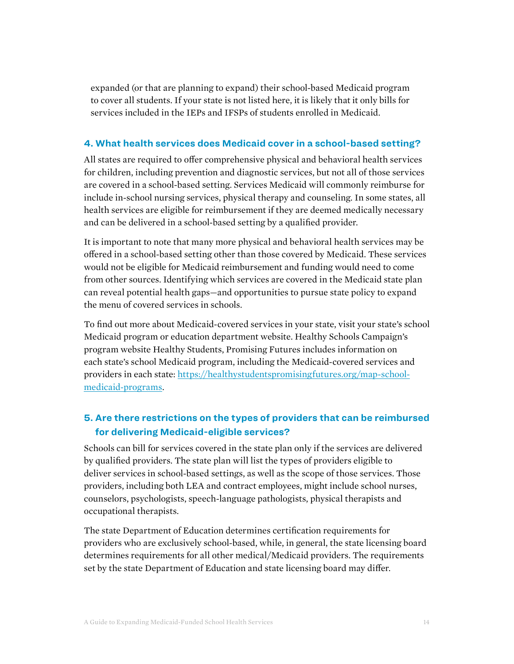expanded (or that are planning to expand) their school-based Medicaid program to cover all students. If your state is not listed here, it is likely that it only bills for services included in the IEPs and IFSPs of students enrolled in Medicaid.

#### **4. What health services does Medicaid cover in a school-based setting?**

All states are required to offer comprehensive physical and behavioral health services for children, including prevention and diagnostic services, but not all of those services are covered in a school-based setting. Services Medicaid will commonly reimburse for include in-school nursing services, physical therapy and counseling. In some states, all health services are eligible for reimbursement if they are deemed medically necessary and can be delivered in a school-based setting by a qualified provider.

It is important to note that many more physical and behavioral health services may be offered in a school-based setting other than those covered by Medicaid. These services would not be eligible for Medicaid reimbursement and funding would need to come from other sources. Identifying which services are covered in the Medicaid state plan can reveal potential health gaps—and opportunities to pursue state policy to expand the menu of covered services in schools.

To find out more about Medicaid-covered services in your state, visit your state's school Medicaid program or education department website. Healthy Schools Campaign's program website Healthy Students, Promising Futures includes information on each state's school Medicaid program, including the Medicaid-covered services and providers in each state: [https://healthystudentspromisingfutures.org/map-school](https://healthystudentspromisingfutures.org/map-school-medicaid-programs)[medicaid-programs](https://healthystudentspromisingfutures.org/map-school-medicaid-programs).

#### **5. Are there restrictions on the types of providers that can be reimbursed for delivering Medicaid-eligible services?**

Schools can bill for services covered in the state plan only if the services are delivered by qualified providers. The state plan will list the types of providers eligible to deliver services in school-based settings, as well as the scope of those services. Those providers, including both LEA and contract employees, might include school nurses, counselors, psychologists, speech-language pathologists, physical therapists and occupational therapists.

The state Department of Education determines certification requirements for providers who are exclusively school-based, while, in general, the state licensing board determines requirements for all other medical/Medicaid providers. The requirements set by the state Department of Education and state licensing board may differ.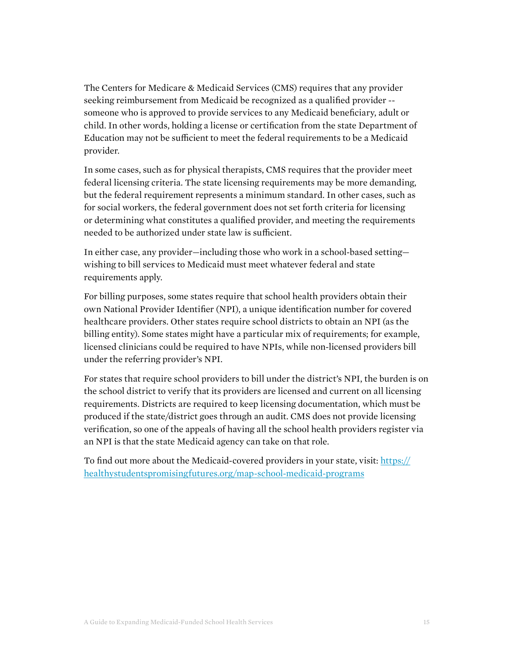The Centers for Medicare & Medicaid Services (CMS) requires that any provider seeking reimbursement from Medicaid be recognized as a qualified provider - someone who is approved to provide services to any Medicaid beneficiary, adult or child. In other words, holding a license or certification from the state Department of Education may not be sufficient to meet the federal requirements to be a Medicaid provider.

In some cases, such as for physical therapists, CMS requires that the provider meet federal licensing criteria. The state licensing requirements may be more demanding, but the federal requirement represents a minimum standard. In other cases, such as for social workers, the federal government does not set forth criteria for licensing or determining what constitutes a qualified provider, and meeting the requirements needed to be authorized under state law is sufficient.

In either case, any provider—including those who work in a school-based setting wishing to bill services to Medicaid must meet whatever federal and state requirements apply.

For billing purposes, some states require that school health providers obtain their own National Provider Identifier (NPI), a unique identification number for covered healthcare providers. Other states require school districts to obtain an NPI (as the billing entity). Some states might have a particular mix of requirements; for example, licensed clinicians could be required to have NPIs, while non-licensed providers bill under the referring provider's NPI.

For states that require school providers to bill under the district's NPI, the burden is on the school district to verify that its providers are licensed and current on all licensing requirements. Districts are required to keep licensing documentation, which must be produced if the state/district goes through an audit. CMS does not provide licensing verification, so one of the appeals of having all the school health providers register via an NPI is that the state Medicaid agency can take on that role.

To find out more about the Medicaid-covered providers in your state, visit: [https://](https://healthystudentspromisingfutures.org/map-school-medicaid-programs) [healthystudentspromisingfutures.org/map-school-medicaid-programs](https://healthystudentspromisingfutures.org/map-school-medicaid-programs)